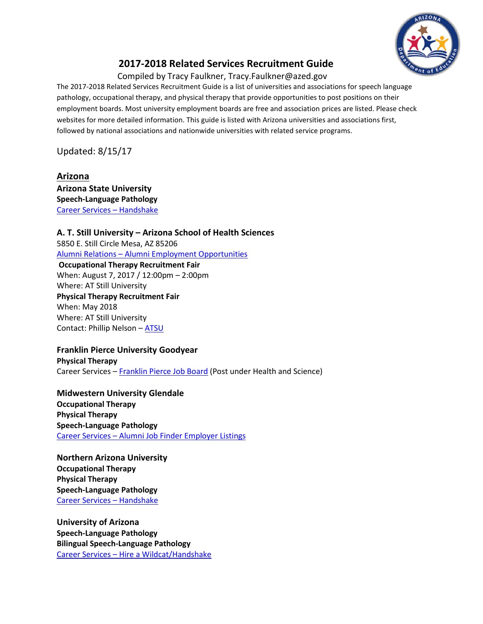

# **2017-2018 Related Services Recruitment Guide**

Compiled by Tracy Faulkner, Tracy.Faulkner@azed.gov

The 2017-2018 Related Services Recruitment Guide is a list of universities and associations for speech language pathology, occupational therapy, and physical therapy that provide opportunities to post positions on their employment boards. Most university employment boards are free and association prices are listed. Please check websites for more detailed information. This guide is listed with Arizona universities and associations first, followed by national associations and nationwide universities with related service programs.

Updated: 8/15/17

**Arizona Arizona State University Speech-Language Pathology** [Career Services](https://eoss.asu.edu/cs/employers/recruiting101) – Handshake

**A. T. Still University – Arizona School of Health Sciences** 5850 E. Still Circle Mesa, AZ 85206 Alumni Relations – [Alumni Employment Opportunities](http://www.atsu.edu/alumni/employment_opportunities/index.htm)

**Occupational Therapy Recruitment Fair** When: August 7, 2017 / 12:00pm – 2:00pm Where: AT Still University **Physical Therapy Recruitment Fair** When: May 2018 Where: AT Still University Contact: Phillip Nelson – [ATSU](mailto:atsucareerservices@atsu.edu)

**Franklin Pierce University Goodyear Physical Therapy** Career Services – [Franklin Pierce Job Board](http://www.franklinpierce.edu/jobbase/) (Post under Health and Science)

**Midwestern University Glendale Occupational Therapy Physical Therapy Speech-Language Pathology** Career Services – [Alumni Job Finder Employer Listings](https://online.midwestern.edu/public/jobpost.cgi)

**Northern Arizona University Occupational Therapy Physical Therapy Speech-Language Pathology** [Career Services](http://nau.edu/Career/Employers/) – Handshake

**University of Arizona Speech-Language Pathology Bilingual Speech-Language Pathology** Career Services – [Hire a Wildcat/Handshake](http://career.arizona.edu/hire-wildcat)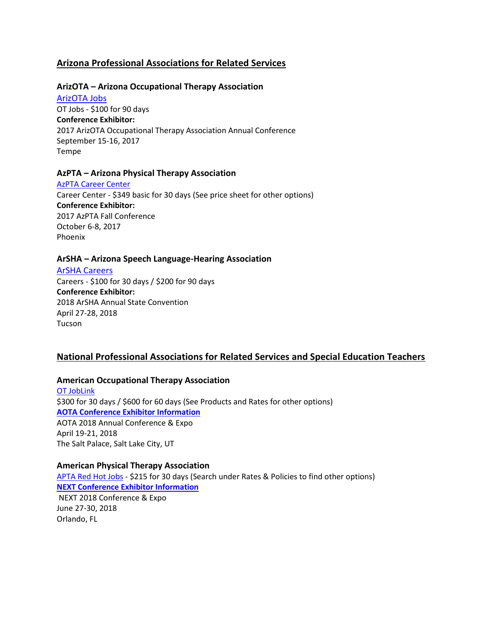# **Arizona Professional Associations for Related Services**

# **ArizOTA – Arizona Occupational Therapy Association**

[ArizOTA Jobs](https://www.arizota.org/jobs/employer-registration) OT Jobs - \$100 for 90 days **Conference Exhibitor:** 2017 ArizOTA Occupational Therapy Association Annual Conference September 15-16, 2017 Tempe

# **AzPTA – Arizona Physical Therapy Association**

[AzPTA Career Center](http://pt.az.associationcareernetwork.com/) Career Center - \$349 basic for 30 days (See price sheet for other options) **Conference Exhibitor:** 2017 AzPTA Fall Conference October 6-8, 2017 Phoenix

# **ArSHA – Arizona Speech Language-Hearing Association**

[ArSHA Careers](https://www.arsha.org/careers/employer-signup)

Careers - \$100 for 30 days / \$200 for 90 days **Conference Exhibitor:** 2018 ArSHA Annual State Convention April 27-28, 2018 Tucson

# **National Professional Associations for Related Services and Special Education Teachers**

#### **American Occupational Therapy Association**

[OT JobLink](http://www.otjoblink.org/) \$300 for 30 days / \$600 for 60 days (See Products and Rates for other options) **[AOTA Conference Exhibitor Information](http://www.aota.org/conference-events/exhibitor-sponsor-information/conference.aspx)** AOTA 2018 Annual Conference & Expo April 19-21, 2018 The Salt Palace, Salt Lake City, UT

### **American Physical Therapy Association**

[APTA Red Hot Jobs](http://www.apta.org/apta/jobbank/index.aspx?navID=10737422765) - \$215 for 30 days (Search under Rates & Policies to find other options) **[NEXT Conference Exhibitor](http://www.apta.org/NEXT/FutureDates/) Information**  NEXT 2018 Conference & Expo

June 27-30, 2018 Orlando, FL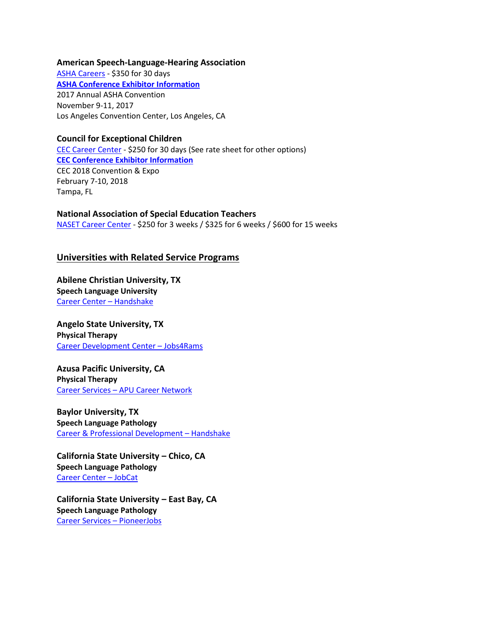#### **American Speech-Language-Hearing Association**

[ASHA Careers](http://careers.asha.org/employers/) - \$350 for 30 days **[ASHA Conference Exhibitor](http://www.asha.org/events/convention/) Information**  2017 Annual ASHA Convention November 9-11, 2017 Los Angeles Convention Center, Los Angeles, CA

# **Council for Exceptional Children**

[CEC Career Center](http://jobboard.specialedcareers.org/) - \$250 for 30 days (See rate sheet for other options) **[CEC Conference Exhibitor](http://www.cecconvention.org/) Information**  CEC 2018 Convention & Expo February 7-10, 2018 Tampa, FL

**National Association of Special Education Teachers** [NASET Career Center](https://www.naset.org/3004.0.html) - \$250 for 3 weeks / \$325 for 6 weeks / \$600 for 15 weeks

# **Universities with Related Service Programs**

**Abilene Christian University, TX Speech Language University** [Career Center](http://blogs.acu.edu/careercenter/employers/) – Handshake

**Angelo State University, TX Physical Therapy** [Career Development Center](http://www.angelo.edu/services/career/employers/) – Jobs4Rams

**Azusa Pacific University, CA Physical Therapy** Career Services – [APU Career Network](http://www.apu.edu/career/employers/)

**Baylor University, TX Speech Language Pathology** [Career & Professional Development](http://www.baylor.edu/cpd/index.php?id=863789) – Handshake

**California State University – Chico, CA Speech Language Pathology** [Career Center](http://www.csuchico.edu/careers/employers/index.shtml) – JobCat

**California State University – East Bay, CA Speech Language Pathology** [Career Services](http://www.csueastbay.edu/academic/academic-support/aace/resources/post-jobs.html) – PioneerJobs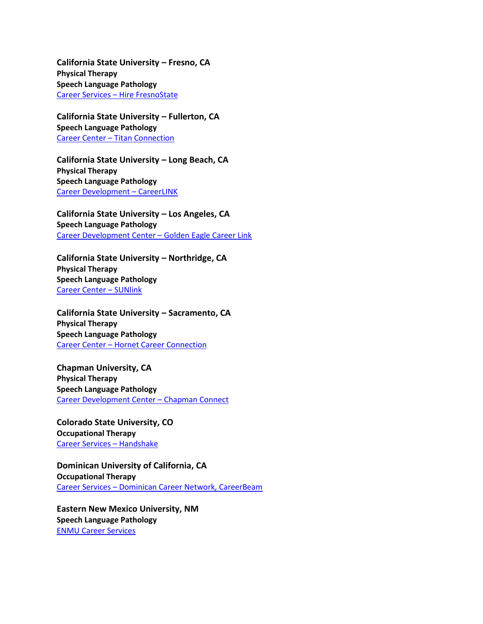**California State University – Fresno, CA Physical Therapy Speech Language Pathology** Career Services – [Hire FresnoState](http://www.fresnostate.edu/studentaffairs/careers/employer/connect.html)

**California State University – Fullerton, CA Speech Language Pathology** Career Center – [Titan Connection](http://www.fullerton.edu/career/recruiters/)

**California State University – Long Beach, CA Physical Therapy Speech Language Pathology** Career [Development](http://www.careers.csulb.edu/employers/) – CareerLINK

**California State University – Los Angeles, CA Speech Language Pathology** [Career Development Center](http://web.calstatela.edu/univ/cdc/employers.php) – Golden Eagle Career Link

**California State University – Northridge, CA Physical Therapy Speech Language Pathology** [Career Center](http://www.csun.edu/career/employers) – SUNlink

**California State University – Sacramento, CA Physical Therapy Speech Language Pathology** Career Center – Hornet [Career Connection](http://www.csus.edu/careercenter/employers/index.html)

**Chapman University, CA Physical Therapy Speech Language Pathology** [Career Development Center](http://www.chapman.edu/students/services/career-development/employers/) – Chapman Connect

**Colorado State University, CO Occupational Therapy** [Career Services](https://career.colostate.edu/experience/handshake) – Handshake

**Dominican University of California, CA Occupational Therapy** Career Services – [Dominican Career Network, CareerBeam](http://www.dominican.edu/campus-life/current/studentlife/careerservices/employersdir)

**Eastern New Mexico University, NM Speech Language Pathology** [ENMU Career Services](http://www.enmu.edu/greyhound-life/career-services/for-employers)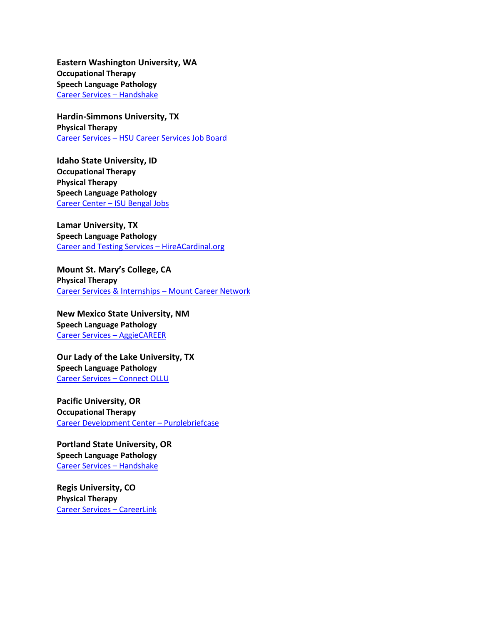**Eastern Washington University, WA Occupational Therapy Speech Language Pathology** [Career Services](http://www.ewu.edu/community/career-services/employers/post-an-opportunity) – Handshake

**Hardin-Simmons University, TX Physical Therapy** Career Services – [HSU Career Services Job Board](https://www.hsutx.edu/offices/career-services/employers/)

**Idaho State University, ID Occupational Therapy Physical Therapy Speech Language Pathology** Career Center – [ISU Bengal Jobs](http://www.isu.edu/career/employerjobs.shtml)

**Lamar University, TX Speech Language Pathology** [Career and Testing Services](http://www.lamar.edu/career-and-testing-services/employers/hireacardinal.html) – HireACardinal.org

**Mount St. Mary's College, CA Physical Therapy** [Career Services & Internships](http://www.msmu.edu/resources-culture/career-services/for-employers/) – Mount Career Network

**New Mexico State University, NM Speech Language Pathology** [Career Services](https://careerservices.nmsu.edu/employers/job-information/) – AggieCAREER

**Our Lady of the Lake University, TX Speech Language Pathology** [Career Services](https://www.myinterfase.com/connectollu/employer/) – Connect OLLU

**Pacific University, OR Occupational Therapy** [Career Development Center](http://www.pacificu.edu/about-us/centers-institutes/career-development-center/information-employers) – Purplebriefcase

**Portland State University, OR Speech Language Pathology** [Career Services](http://www.pdx.edu/careers/posting-jobs-internships) – Handshake

**Regis University, CO Physical Therapy** [Career Services](http://www.regis.edu/about-regis-university/university-offices-and-services/career-services/employer-information.aspx) – CareerLink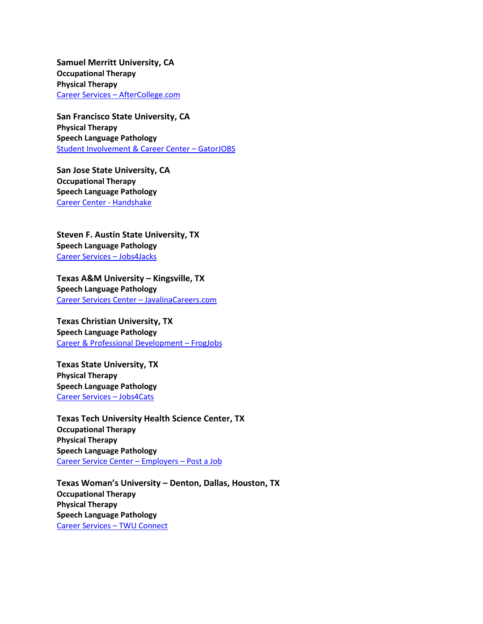**Samuel Merritt University, CA Occupational Therapy Physical Therapy** Career Services – [AfterCollege.com](http://www.samuelmerritt.edu/careers/for_employers)

**San Francisco State University, CA Physical Therapy Speech Language Pathology** [Student Involvement & Career Center](https://www.myinterfase.com/sfsu/employer/) – GatorJOBS

**San Jose State University, CA Occupational Therapy Speech Language Pathology** [Career Center -](http://www.sjsu.edu/careercenter/employers/index.html) Handshake

**Steven F. Austin State University, TX Speech Language Pathology** [Career Services](http://www.sfasu.edu/ccpd/150.asp) – Jobs4Jacks

**Texas A&M University – Kingsville, TX Speech Language Pathology** [Career Services Center](http://www.tamuk.edu/csc/) – JavalinaCareers.com

**Texas Christian University, TX Speech Language Pathology** [Career & Professional Development](http://careers.tcu.edu/employers/) – FrogJobs

**Texas State University, TX Physical Therapy Speech Language Pathology** [Career Services](http://www.careerservices.txstate.edu/employers.html) – Jobs4Cats

**Texas Tech University Health Science Center, TX Occupational Therapy Physical Therapy Speech Language Pathology** [Career Service Center](http://www.ttuhsc.edu/son/career/) – Employers – Post a Job

**Texas Woman's University – Denton, Dallas, Houston, TX Occupational Therapy Physical Therapy Speech Language Pathology** [Career Services](http://www.twu.edu/career-services/employers.asp) – TWU Connect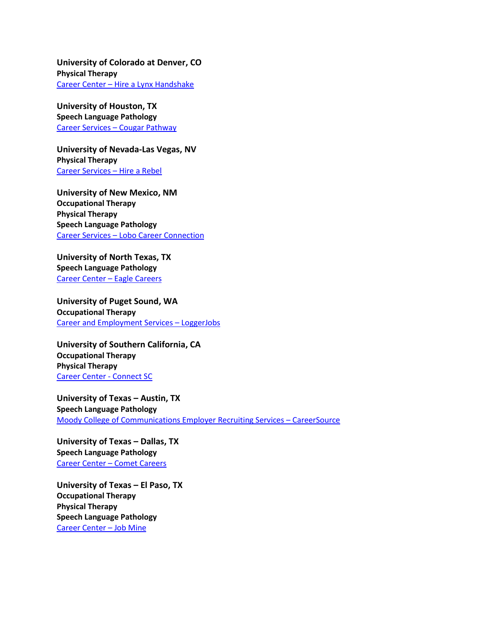**University of Colorado at Denver, CO Physical Therapy** [Career Center](http://www.ucdenver.edu/life/services/careercenter/Employers/Pages/employers.aspx) – Hire a Lynx Handshake

**University of Houston, TX Speech Language Pathology** [Career Services](http://www.uh.edu/cougarpathway/employers/) – Cougar Pathway

**University of Nevada-Las Vegas, NV Physical Therapy** [Career Services](https://www.unlv.edu/hirearebel) – Hire a Rebel

**University of New Mexico, NM Occupational Therapy Physical Therapy Speech Language Pathology** Career Services – [Lobo Career Connection](http://www.career.unm.edu/employers/Employers-Connections.html)

**University of North Texas, TX Speech Language Pathology** [Career Center](http://studentaffairs.unt.edu/employers-connecting-career-center) – Eagle Careers

**University of Puget Sound, WA Occupational Therapy** [Career and Employment Services](http://www.pugetsound.edu/about/offices-services/ces/employers/loggerjobs/) – LoggerJobs

**University of Southern California, CA Occupational Therapy Physical Therapy** [Career Center -](http://careers.usc.edu/employers) Connect SC

**University of Texas – Austin, TX Speech Language Pathology** [Moody College of Communications Employer Recruiting Services](http://moody.utexas.edu/ccs/employers) – CareerSource

**University of Texas – Dallas, TX Speech Language Pathology** Career Center – [Comet Careers](http://www.utdallas.edu/career/post/)

**University of Texas – El Paso, TX Occupational Therapy Physical Therapy Speech Language Pathology** [Career Center](http://sa.utep.edu/careers/) – Job Mine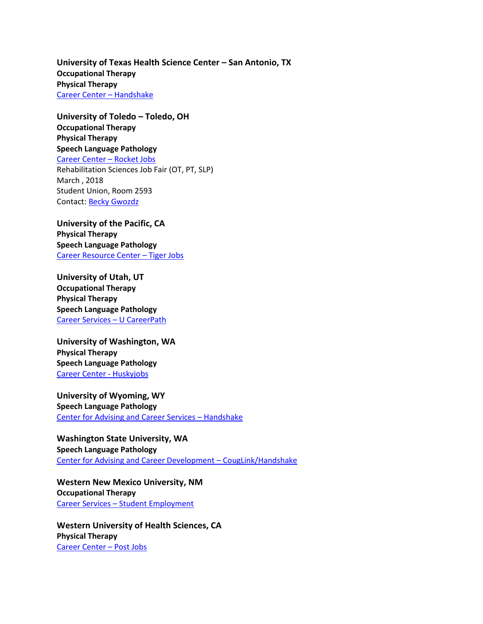**University of Texas Health Science Center – San Antonio, TX Occupational Therapy Physical Therapy** [Career Center](http://utsa.edu/careercenter/employers/index.html) – Handshake

**University of Toledo – Toledo, OH Occupational Therapy Physical Therapy Speech Language Pathology** [Career Center](http://www.utoledo.edu/success/career/employers/) – Rocket Jobs Rehabilitation Sciences Job Fair (OT, PT, SLP) March , 2018 Student Union, Room 2593 Contact: [Becky Gwozdz](mailto:Becky.Gwozdz@utoledo.edu)

**University of the Pacific, CA Physical Therapy Speech Language Pathology** [Career Resource Center](http://www.pacific.edu/Campus-Life/Student-Services/Career-Resource-Center/Employers.html) – Tiger Jobs

**University of Utah, UT Occupational Therapy Physical Therapy Speech Language Pathology** [Career Services](http://careers.utah.edu/employers/index.php) – U CareerPath

**University of Washington, WA Physical Therapy Speech Language Pathology** [Career Center -](http://careers.washington.edu/Employers) Huskyjobs

**University of Wyoming, WY Speech Language Pathology** Center for Advising [and Career Services](http://www.uwyo.edu/cacs/employers/) – Handshake

**Washington State University, WA Speech Language Pathology** [Center for Advising and Career Development](http://cacd.wsu.edu/employers/) – CougLink/Handshake

**Western New Mexico University, NM Occupational Therapy** Career Services – [Student Employment](http://css.wnmu.edu/studentemployment/)

**Western University of Health Sciences, CA Physical Therapy** [Career Center](http://webpost.westernu.edu/) – Post Jobs